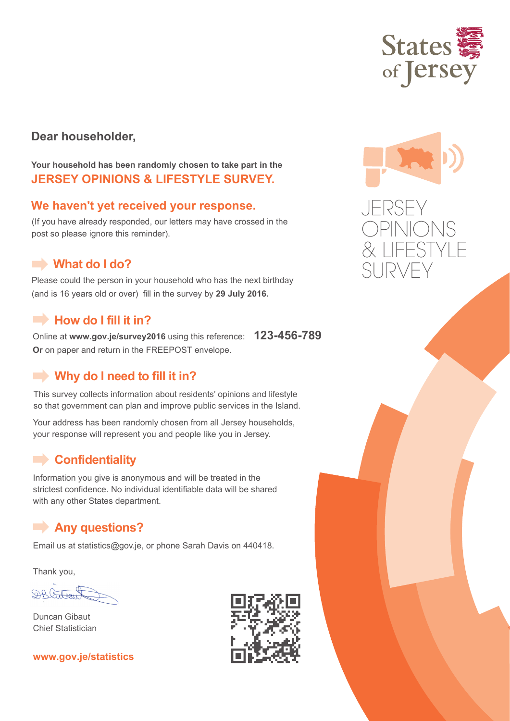

### **Dear householder,**

**Your household has been randomly chosen to take part in the JERSEY OPINIONS & LIFESTYLE SURVEY.**

### **We haven't yet received your response.**

(If you have already responded, our letters may have crossed in the post so please ignore this reminder).

### **What do I do?**

Please could the person in your household who has the next birthday (and is 16 years old or over) fill in the survey by **29 July 2016.** 

### **How do I fill it in?**

Online at **www.gov.je/survey2016** using this reference: **123-456-789 Or** on paper and return in the FREEPOST envelope.

### **Why do I need to fill it in?**

This survey collects information about residents' opinions and lifestyle so that government can plan and improve public services in the Island.

Your address has been randomly chosen from all Jersey households, your response will represent you and people like you in Jersey.

### **Confidentiality**

Information you give is anonymous and will be treated in the strictest confidence. No individual identifiable data will be shared with any other States department.

### **Any questions?**

Email us at statistics@gov.je, or phone Sarah Davis on 440418.

Thank you,

DRATOGIL

Duncan Gibaut Chief Statistician





JERSEY OPINIONS & LIFESTYLE SURVEY

### **www.gov.je/statistics**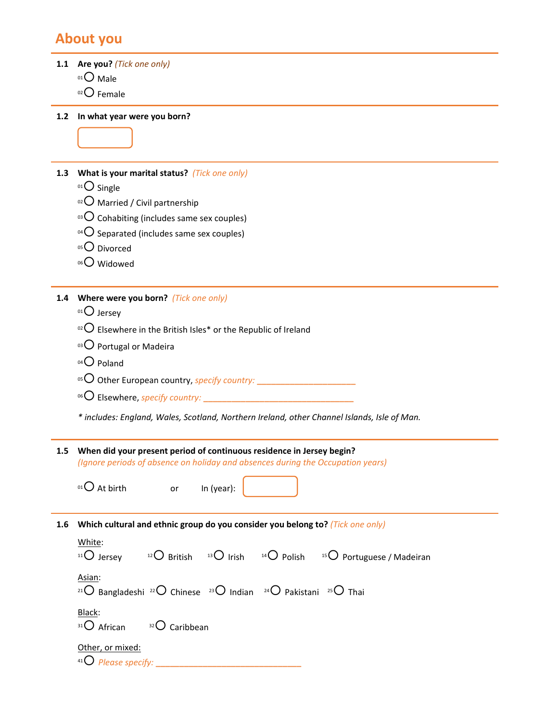### **About you**

**1.1 Are you?** *(Tick one only)* 

- $01$  Male
- $02$  Female

**1.2 In what year were you born?**

**1.3 What is your marital status?** *(Tick one only)*

- 01<sup>O</sup> Single
- $10^{2}$  Married / Civil partnership
- $03$  Cohabiting (includes same sex couples)
- 04 $\bigcirc$  Separated (includes same sex couples)
- 05<sup>O</sup> Divorced
- 06<sup>O</sup> Widowed

**1.4 Where were you born?** *(Tick one only)*

- 01<sup>O</sup> Jersey
- <sup>02</sup> Elsewhere in the British Isles\* or the Republic of Ireland
- 03 Portugal or Madeira
- 04 O Poland
- <sup>05</sup> Other European country, *specify country:* **\_\_\_\_\_\_\_\_\_\_\_\_\_\_\_\_\_\_\_\_\_**
- <sup>06</sup> Elsewhere, *specify country:* **\_\_\_\_\_\_\_\_\_\_\_\_\_\_\_\_\_\_\_\_\_\_\_\_\_\_\_\_\_\_\_\_**

*\* includes: England, Wales, Scotland, Northern Ireland, other Channel Islands, Isle of Man.*

**1.5 When did your present period of continuous residence in Jersey begin?** *(Ignore periods of absence on holiday and absences during the Occupation years)*

 $01$  At birth or In (year):

**1.6 Which cultural and ethnic group do you consider you belong to?** *(Tick one only)*

| White:<br>$11\bigcirc$ Jersey                                                                                                       |  | $12^{\circ}$ British $13^{\circ}$ Irish $14^{\circ}$ Polish $15^{\circ}$ Portuguese / Madeiran |
|-------------------------------------------------------------------------------------------------------------------------------------|--|------------------------------------------------------------------------------------------------|
| Asian:<br><sup>21</sup> O Bangladeshi <sup>22</sup> O Chinese <sup>23</sup> O Indian <sup>24</sup> O Pakistani <sup>25</sup> O Thai |  |                                                                                                |
| Black:<br>$31\text{O}$ African $32\text{O}$ Caribbean                                                                               |  |                                                                                                |
| Other, or mixed:<br>41 $\bigcirc$ Please specify:                                                                                   |  |                                                                                                |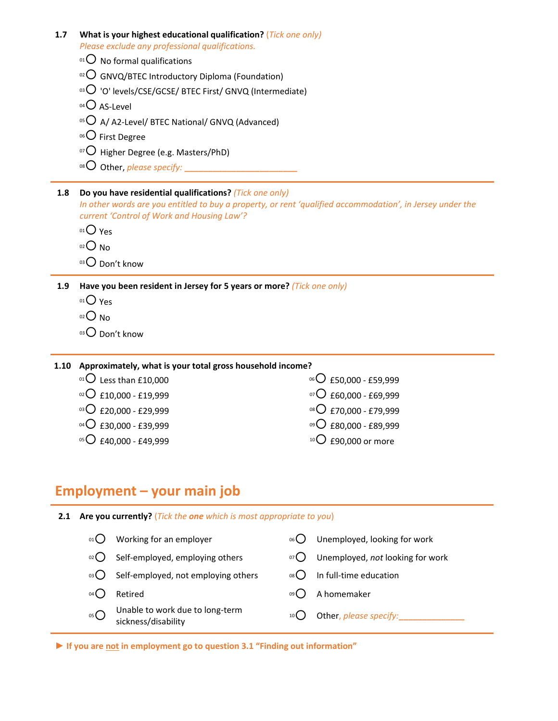| 1.7 | What is your highest educational qualification? (Tick one only)                                                                                                      |
|-----|----------------------------------------------------------------------------------------------------------------------------------------------------------------------|
|     | Please exclude any professional qualifications.                                                                                                                      |
|     | $^{01}$ No formal qualifications                                                                                                                                     |
|     | $\circ$ <sup>2</sup> O GNVQ/BTEC Introductory Diploma (Foundation)                                                                                                   |
|     | $^{03}$ O 'O' levels/CSE/GCSE/ BTEC First/ GNVQ (Intermediate)                                                                                                       |
|     | $04\bigcirc$ AS-Level                                                                                                                                                |
|     | 05 O A/A2-Level/ BTEC National/ GNVQ (Advanced)                                                                                                                      |
|     | <sup>06</sup> $O$ First Degree                                                                                                                                       |
|     | $\overline{O}$ Higher Degree (e.g. Masters/PhD)                                                                                                                      |
|     |                                                                                                                                                                      |
|     |                                                                                                                                                                      |
|     |                                                                                                                                                                      |
| 1.8 | Do you have residential qualifications? (Tick one only)<br>In other words are you entitled to buy a property, or rent 'qualified accommodation', in Jersey under the |
|     | current 'Control of Work and Housing Law'?                                                                                                                           |
|     | $01O$ Yes                                                                                                                                                            |
|     | $O02$ No                                                                                                                                                             |
|     | $03$ Don't know                                                                                                                                                      |
| 1.9 | Have you been resident in Jersey for 5 years or more? (Tick one only)                                                                                                |
|     | $01O$ Yes                                                                                                                                                            |
|     | $O02$ No                                                                                                                                                             |
|     | 03 Don't know                                                                                                                                                        |

**1.10 Approximately, what is your total gross household income?**

| <sup>01</sup> $\bigcirc$ Less than £10,000 | 06 C £50,000 - £59,999            |
|--------------------------------------------|-----------------------------------|
| $\rm ^{02}O$ £10,000 - £19,999             | $^{07}$ O £60,000 - £69,999       |
| 03 O £20,000 - £29,999                     | 08 O £70,000 - £79,999            |
| $^{04}$ O £30,000 - £39,999                | <sup>09</sup> ○ £80,000 - £89,999 |
| $\rm ^{05}O$ £40,000 - £49,999             | $10$ $\bigcirc$ £90,000 or more   |

# **Employment – your main job**

| 2.1 |                                      | Are you currently? (Tick the one which is most appropriate to you) |                 |                                  |  |  |
|-----|--------------------------------------|--------------------------------------------------------------------|-----------------|----------------------------------|--|--|
|     |                                      | Working for an employer                                            | 06              | Unemployed, looking for work     |  |  |
|     | $02$ $\begin{pmatrix} \end{pmatrix}$ | Self-employed, employing others                                    | 07(             | Unemployed, not looking for work |  |  |
|     | 03(                                  | Self-employed, not employing others                                | 08 <sup>0</sup> | In full-time education           |  |  |
|     | $04$ $\left($                        | Retired                                                            | 09              | A homemaker                      |  |  |
|     | 05C                                  | Unable to work due to long-term<br>sickness/disability             |                 | Other, please specify:           |  |  |

**► If you are not in employment go to question 3.1 "Finding out information"**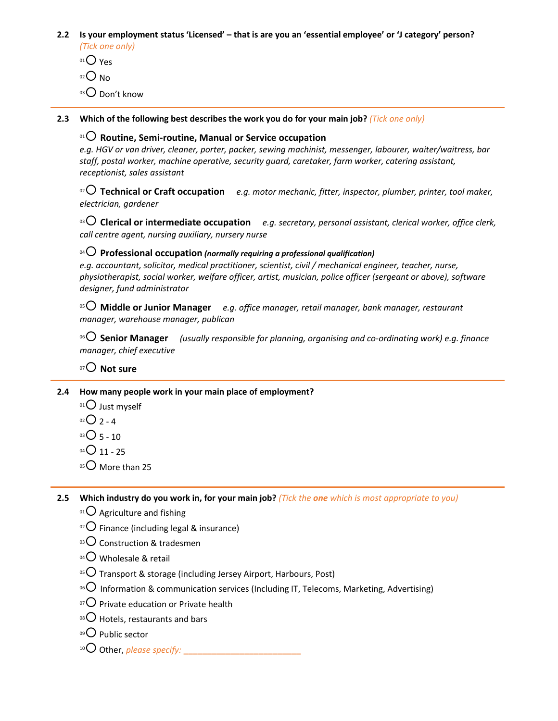- 2.2 Is your employment status 'Licensed' that is are you an 'essential employee' or 'J category' person? *(Tick one only)*
	- $01O$  Yes
	- $02$  No
	- 03 Don't know

**2.3 Which of the following best describes the work you do for your main job?** *(Tick one only)*

### <sup>01</sup> **Routine, Semi‐routine, Manual or Service occupation**

*e.g. HGV or van driver, cleaner, porter, packer, sewing machinist, messenger, labourer, waiter/waitress, bar staff, postal worker, machine operative, security guard, caretaker, farm worker, catering assistant, receptionist, sales assistant*

<sup>02</sup> **Technical or Craft occupation** *e.g. motor mechanic, fitter, inspector, plumber, printer, tool maker, electrician, gardener*

<sup>03</sup> **Clerical or intermediate occupation** *e.g. secretary, personal assistant, clerical worker, office clerk, call centre agent, nursing auxiliary, nursery nurse*

### <sup>04</sup> **Professional occupation** *(normally requiring <sup>a</sup> professional qualification)*

*e.g. accountant, solicitor, medical practitioner, scientist, civil / mechanical engineer, teacher, nurse, physiotherapist, social worker, welfare officer, artist, musician, police officer (sergeant or above), software designer, fund administrator*

<sup>05</sup> **Middle or Junior Manager** *e.g. office manager, retail manager, bank manager, restaurant manager, warehouse manager, publican*

<sup>06</sup> **Senior Manager** *(usually responsible for planning, organising and co‐ordinating work) e.g. finance manager, chief executive* 

<sup>07</sup> **Not sure**

### **2.4 How many people work in your main place of employment?**

 $01$  Just myself

 $02$  2 - 4

 $03$  5 - 10

- $04$  04  $\bigcirc$  11 25
- $05$  More than 25

2.5 Which industry do you work in, for your main job? (Tick the one which is most appropriate to you)

- $01$  Agriculture and fishing
- $10^{2}$  Finance (including legal & insurance)
- $03$  Construction & tradesmen
- $^{04}$ O Wholesale & retail
- $05$  Transport & storage (including Jersey Airport, Harbours, Post)
- <sup>06</sup> Information & communication services (Including IT, Telecoms, Marketing, Advertising)
- $\overline{07}$  Private education or Private health
- $08$  Hotels, restaurants and bars
- $09$  Public sector
- <sup>10</sup> Other, *please specify:* **\_\_\_\_\_\_\_\_\_\_\_\_\_\_\_\_\_\_\_\_\_\_\_\_\_**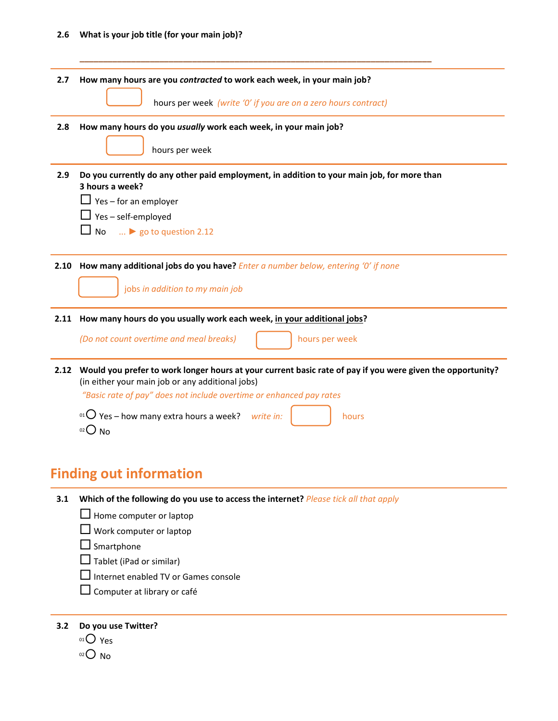### **2.6 What is your job title (for your main job)?**

| 2.7  | How many hours are you contracted to work each week, in your main job?                                                                                         |  |  |
|------|----------------------------------------------------------------------------------------------------------------------------------------------------------------|--|--|
|      | hours per week (write '0' if you are on a zero hours contract)                                                                                                 |  |  |
| 2.8  | How many hours do you usually work each week, in your main job?                                                                                                |  |  |
|      | hours per week                                                                                                                                                 |  |  |
| 2.9  | Do you currently do any other paid employment, in addition to your main job, for more than                                                                     |  |  |
|      | 3 hours a week?                                                                                                                                                |  |  |
|      | $\Box$ Yes – for an employer                                                                                                                                   |  |  |
|      | $\Box$ Yes – self-employed                                                                                                                                     |  |  |
|      | $\Box$ No $\Box$ $\triangleright$ go to question 2.12                                                                                                          |  |  |
|      |                                                                                                                                                                |  |  |
| 2.10 | How many additional jobs do you have? Enter a number below, entering 'O' if none                                                                               |  |  |
|      | jobs in addition to my main job                                                                                                                                |  |  |
| 2.11 | How many hours do you usually work each week, in your additional jobs?                                                                                         |  |  |
|      | (Do not count overtime and meal breaks)<br>hours per week                                                                                                      |  |  |
| 2.12 | Would you prefer to work longer hours at your current basic rate of pay if you were given the opportunity?<br>(in either your main job or any additional jobs) |  |  |
|      | "Basic rate of pay" does not include overtime or enhanced pay rates                                                                                            |  |  |
|      | <sup>01</sup> $\overline{O}$ Yes – how many extra hours a week?<br>write in:<br>hours<br>$02$ No                                                               |  |  |
|      |                                                                                                                                                                |  |  |

**\_\_\_\_\_\_\_\_\_\_\_\_\_\_\_\_\_\_\_\_\_\_\_\_\_\_\_\_\_\_\_\_\_\_\_\_\_\_\_\_\_\_\_\_\_\_\_\_\_\_\_\_\_\_\_\_\_\_\_\_\_\_\_\_\_\_\_\_\_\_\_\_\_\_\_**

## **Finding out information**

|  | <b>3.1</b> Which of the following do you use to access the internet? Please tick all that apply |
|--|-------------------------------------------------------------------------------------------------|
|--|-------------------------------------------------------------------------------------------------|

 $\Box$  Home computer or laptop

 $\Box$  Work computer or laptop

 $\square$  Smartphone

 $\Box$  Tablet (iPad or similar)

Internet enabled TV or Games console

 $\square$  Computer at library or café

**3.2 Do you use Twitter?**

 $01$  Yes

 $02$  No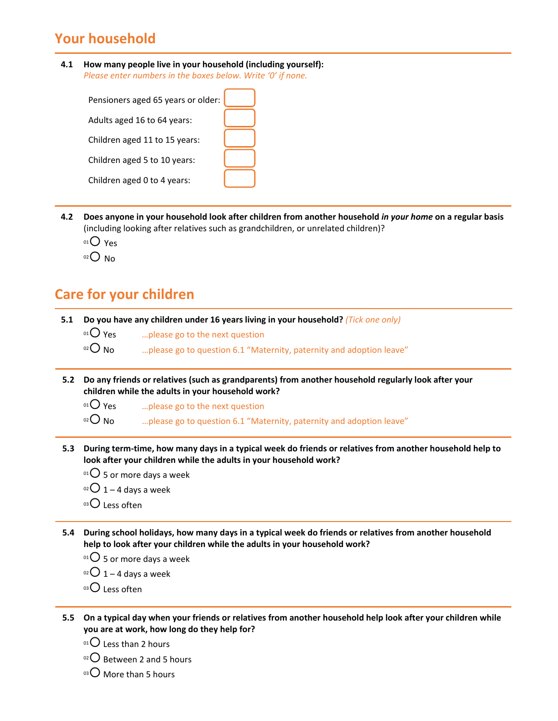## **Your household**

**4.1 How many people live in your household (including yourself):** *Please enter numbers in the boxes below. Write '0' if none.*

| Pensioners aged 65 years or older: |  |
|------------------------------------|--|
| Adults aged 16 to 64 years:        |  |
| Children aged 11 to 15 years:      |  |
| Children aged 5 to 10 years:       |  |
| Children aged 0 to 4 years:        |  |

- 4.2 Does anyone in your household look after children from another household in your home on a regular basis (including looking after relatives such as grandchildren, or unrelated children)?
	- $01O$  Yes
	- $02$  No

### **Care for your children**

- **5.1 Do you have any children under 16 years living in your household?** *(Tick one only)* 
	- $^{01}$  $\overline{O}$  Yes .... please go to the next question

 $10^{2}$  No  $10^{2}$  ... please go to question 6.1 "Maternity, paternity and adoption leave"

- **5.2 Do any friends or relatives (such as grandparents) from another household regularly look after your children while the adults in your household work?**
	- $^{01}$  Yes  $^{01}$   $\ldots$  please go to the next question
	- $\degree$  No  $\degree$  ... please go to question 6.1 "Maternity, paternity and adoption leave"
- 5.3 During term-time, how many days in a typical week do friends or relatives from another household help to **look after your children while the adults in your household work?**
	- $^{01}$ C 5 or more days a week
	- $02$  1 4 days a week
	- $^{03}$ C Less often
- 5.4 During school holidays, how many days in a typical week do friends or relatives from another household **help to look after your children while the adults in your household work?**
	- $01$  5 or more days a week
	- $02$  1 4 days a week
	- $^{03}$ C Less often
- 5.5 On a typical day when your friends or relatives from another household help look after your children while **you are at work, how long do they help for?**
	- $01$  Less than 2 hours
	- $02$  Between 2 and 5 hours
	- $^{03}$ C More than 5 hours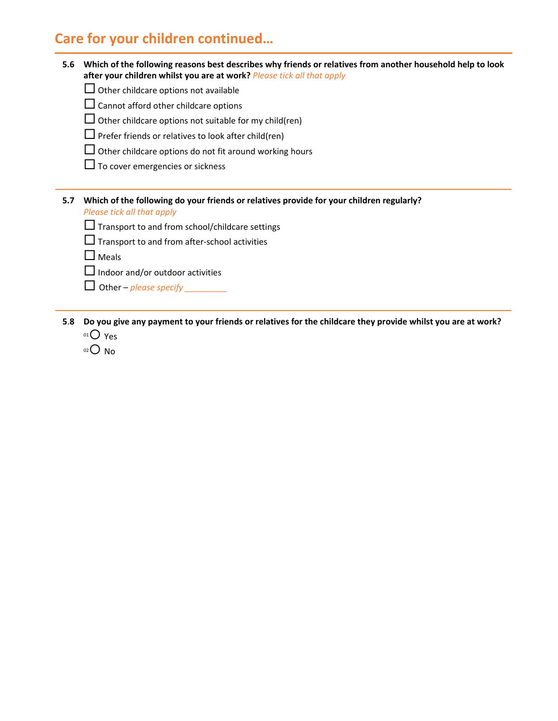## **Care for your children continued…**

| 5.6 Which of the following reasons best describes why friends or relatives from another household help to look |
|----------------------------------------------------------------------------------------------------------------|
| after your children whilst you are at work? <i>Please tick all that apply</i>                                  |

- $\Box$  Other childcare options not available
- $\Box$  Cannot afford other childcare options
- $\Box$  Other childcare options not suitable for my child(ren)
- $\square$  Prefer friends or relatives to look after child(ren)
- $\Box$  Other childcare options do not fit around working hours
- $\Box$  To cover emergencies or sickness

### **5.7 Which of the following do your friends or relatives provide for your children regularly?**  *Please tick all that apply*

- $\Box$  Transport to and from school/childcare settings
- Transport to and from after‐school activities

 $\Box$  Meals

- $\Box$  Indoor and/or outdoor activities
- $\Box$  Other *please specify*
- 5.8 Do you give any payment to your friends or relatives for the childcare they provide whilst you are at work? 01<sup>O</sup> Yes
	- $02$  No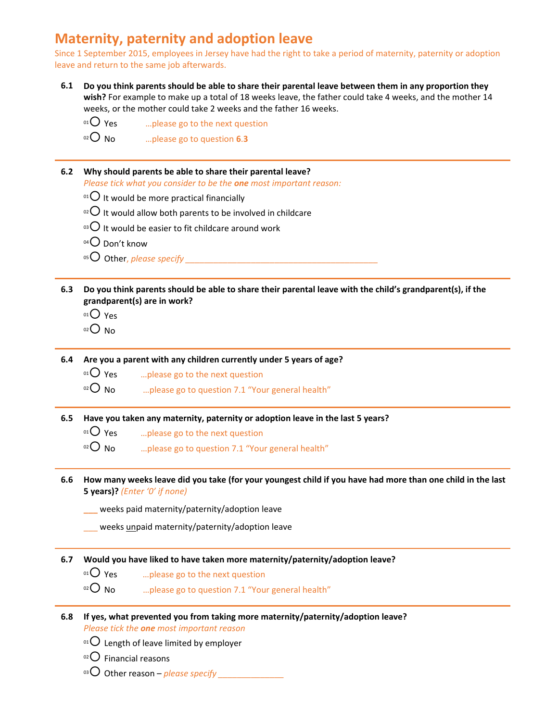## **Maternity, paternity and adoption leave**

Since 1 September 2015, employees in Jersey have had the right to take a period of maternity, paternity or adoption leave and return to the same job afterwards.

- 6.1 Do you think parents should be able to share their parental leave between them in any proportion they **wish?** For example to make up a total of 18 weeks leave, the father could take 4 weeks, and the mother 14 weeks, or the mother could take 2 weeks and the father 16 weeks.
	- $0^{\text{10}}$  Yes ... please go to the next question
	- <sup>02</sup> No …please go to question **<sup>6</sup>**.**<sup>3</sup>**

#### **6.2 Why should parents be able to share their parental leave?**

*Please tick what you consider to be the one most important reason:*

- $10^{10}$  It would be more practical financially
- $10^{2}$  It would allow both parents to be involved in childcare
- $10^{3}$  It would be easier to fit childcare around work
- $04$  Don't know
- <sup>05</sup> Other, *please specify Degree 50 Secure 30*
- 6.3 Do you think parents should be able to share their parental leave with the child's grandparent(s), if the **grandparent(s) are in work?**
	- $01$  Yes
	- $02$  No

**6.4 Are you a parent with any children currently under 5 years of age?**

- $0^1$ O Yes .... please go to the next question
- $\degree$  No  $\degree$  ... please go to question 7.1 "Your general health"
- **6.5 Have you taken any maternity, paternity or adoption leave in the last 5 years?**
	- $0.0$  Yes ... please go to the next question
	- $10^{2}$  No  $\ldots$  please go to question 7.1 "Your general health"
- 6.6 How many weeks leave did you take (for your youngest child if you have had more than one child in the last **5 years)?** *(Enter '0' if none)*
	- **\_\_\_** weeks paid maternity/paternity/adoption leave
	- \_\_\_ weeks unpaid maternity/paternity/adoption leave
- **6.7 Would you have liked to have taken more maternity/paternity/adoption leave?**
	- $0^{\text{10}}$  Yes ... please go to the next question
	- $\infty$  No  $\infty$  mease go to question 7.1 "Your general health"
- **6.8 If yes, what prevented you from taking more maternity/paternity/adoption leave?** *Please tick the one most important reason*
	- <sup>01</sup> $\bigcirc$  Length of leave limited by employer
	- $02$  Financial reasons
	- 03 Other reason *please specify*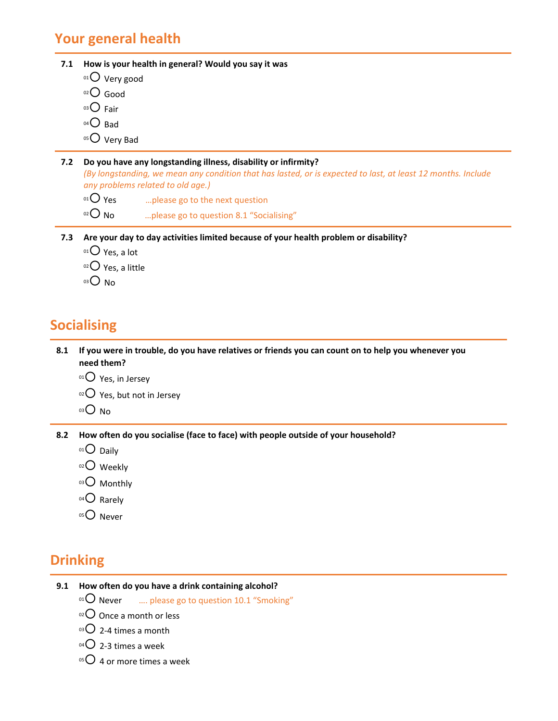### **Your general health**

**7.1 How is your health in general? Would you say it was**  $01$  Very good 02 Good  $03$  Fair  $04\bigcirc$  Bad 05 Very Bad **7.2 Do you have any longstanding illness, disability or infirmity?** (By longstanding, we mean any condition that has lasted, or is expected to last, at least 12 months. Include *any problems related to old age.)*  $01$  Yes ... please go to the next question  $02$  No  $\ldots$  please go to question 8.1 "Socialising"

- **7.3 Are your day to day activities limited because of your health problem or disability?**
	- $01$  Yes, a lot
	- $02$  Yes, a little
	- $O_{03}$

## **Socialising**

8.1 If you were in trouble, do you have relatives or friends you can count on to help you whenever you **need them?**

- $01$  Yes, in Jersey
- $02$  Yes, but not in Jersey
- $O_{03}$  No

**8.2 How often do you socialise (face to face) with people outside of your household?**

- $01$  Daily
- 02 Weekly
- 03 Monthly
- $04$  Rarely
- 05<sup>O</sup> Never

## **Drinking**

- **9.1 How often do you have a drink containing alcohol?**
	- $^{01}$  Never .... please go to question 10.1 "Smoking"
	- $02$  Once a month or less
	- $03$  2-4 times a month
	- $04$  2-3 times a week
	- $05$  4 or more times a week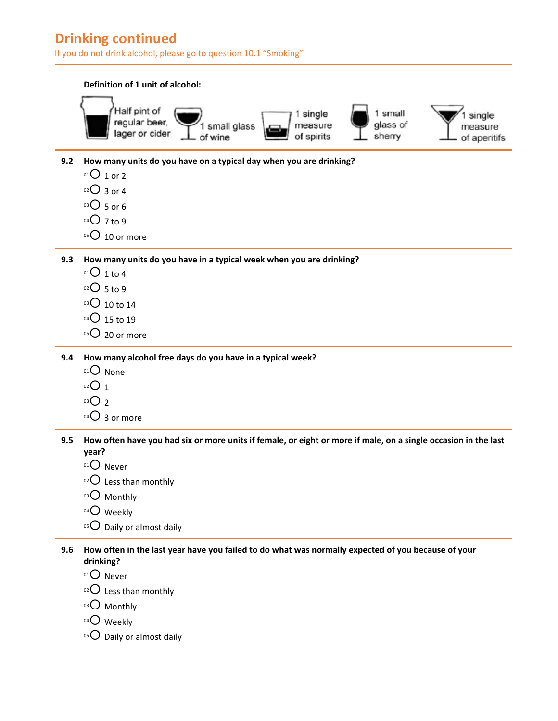## **Drinking continued**

If you do not drink alcohol, please go to question 10.1 "Smoking"



Less than monthly

Monthly

04<sup>O</sup> Weekly

Daily or almost daily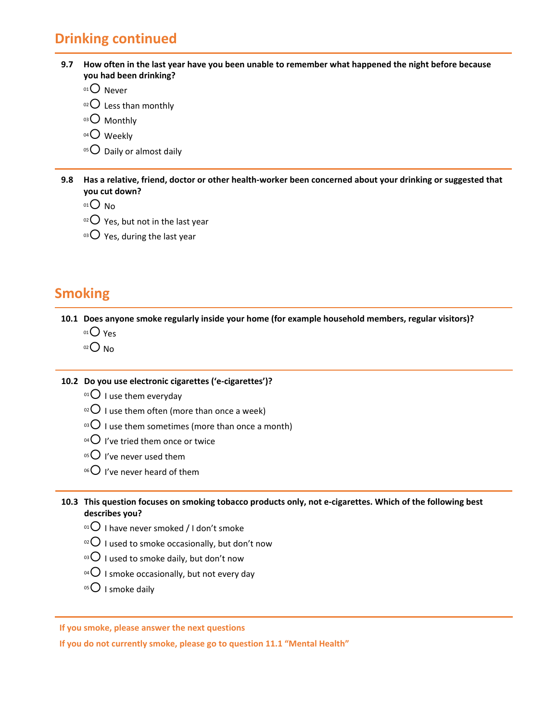## **Drinking continued**

| 9.7 How often in the last year have you been unable to remember what happened the night before because |
|--------------------------------------------------------------------------------------------------------|
| you had been drinking?                                                                                 |

- $01$  Never
- $02$  Less than monthly
- 03 Monthly
- $04$  Weekly
- $05$  Daily or almost daily

9.8 Has a relative, friend, doctor or other health-worker been concerned about your drinking or suggested that **you cut down?**

- $01$  No
- $02$  Yes, but not in the last year
- $03$  Yes, during the last year

## **Smoking**

**10.1 Does anyone smoke regularly inside your home (for example household members, regular visitors)?**

- $01$  Yes
- $02$  No

### **10.2 Do you use electronic cigarettes ('e‐cigarettes')?**

- $01$  I use them everyday
- $10^{2}$  I use them often (more than once a week)
- $03$  I use them sometimes (more than once a month)
- $^{04}$  I've tried them once or twice
- $05$  I've never used them
- $^{06}$  I've never heard of them

### 10.3 This question focuses on smoking tobacco products only, not e-cigarettes. Which of the following best **describes you?**

- $10^{10}$  I have never smoked / I don't smoke
- $10^{2}$  I used to smoke occasionally, but don't now
- $03$  I used to smoke daily, but don't now
- $04$  I smoke occasionally, but not every day
- $05$  I smoke daily

### **If you smoke, please answer the next questions**

**If you do not currently smoke, please go to question 11.1 "Mental Health"**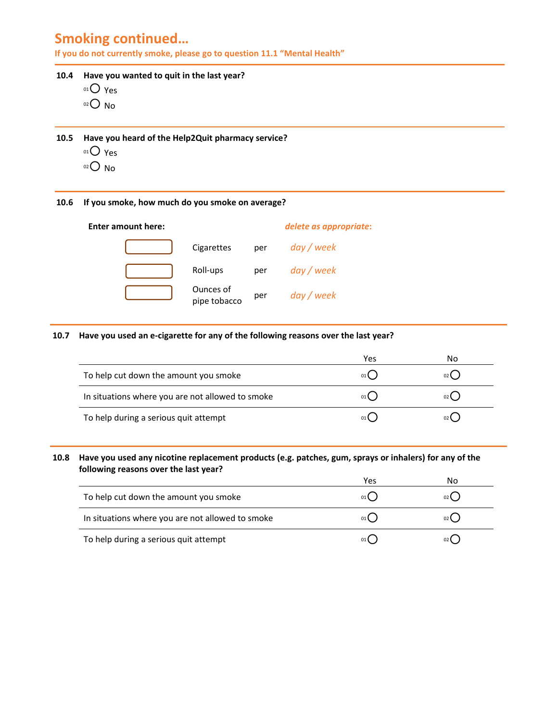## **Smoking continued…**

**If you do not currently smoke, please go to question 11.1 "Mental Health"**

### **10.4 Have you wanted to quit in the last year?**

- 01 Yes
- $02$  No

#### **10.5 Have you heard of the Help2Quit pharmacy service?**

- 01<sup>O</sup> Yes
- $02$  No

### **10.6 If you smoke, how much do you smoke on average?**

| Enter amount here: |                           |     | delete as appropriate: |
|--------------------|---------------------------|-----|------------------------|
|                    | Cigarettes                | per | day / week             |
|                    | Roll-ups                  | per | day / week             |
|                    | Ounces of<br>pipe tobacco | per | day / week             |

### **10.7 Have you used an e‐cigarette for any of the following reasons over the last year?**

|                                                  | Yes | N٥   |
|--------------------------------------------------|-----|------|
| To help cut down the amount you smoke            |     | 02() |
| In situations where you are not allowed to smoke |     | 02(  |
| To help during a serious quit attempt            |     | 02(  |

### 10.8 Have you used any nicotine replacement products (e.g. patches, gum, sprays or inhalers) for any of the **following reasons over the last year?**

|                                                  | Yes  | No     |
|--------------------------------------------------|------|--------|
| To help cut down the amount you smoke            | 01   | 02     |
| In situations where you are not allowed to smoke | 01 ( | $02$ ( |
| To help during a serious quit attempt            |      | $02$ ( |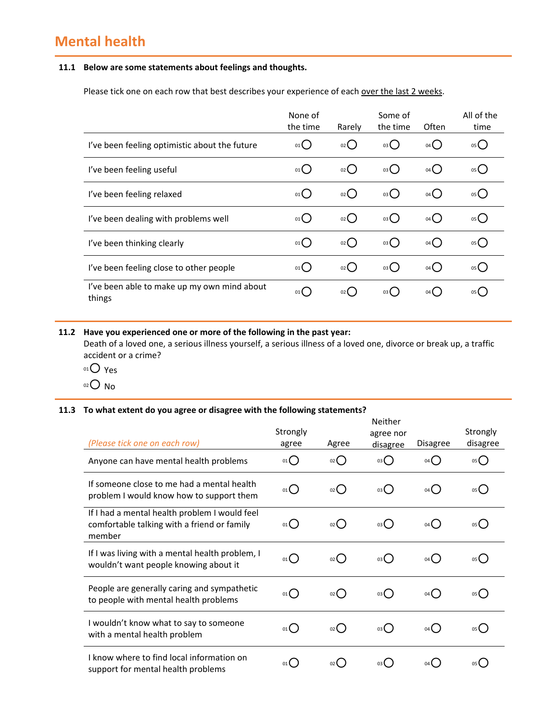## **Mental health**

### **11.1 Below are some statements about feelings and thoughts.**

Please tick one on each row that best describes your experience of each over the last 2 weeks.

|                                                       | None of<br>the time | Rarely                     | Some of<br>the time | Often           | All of the<br>time |
|-------------------------------------------------------|---------------------|----------------------------|---------------------|-----------------|--------------------|
| I've been feeling optimistic about the future         | 01()                | 02()                       | 03()                | 04()            | 05()               |
| I've been feeling useful                              | 01                  | 02()                       | 03()                | 04()            | 05()               |
| I've been feeling relaxed                             | 01                  | $02$ $\left($              | 03()                | $04$ $\bigcirc$ | 05()               |
| I've been dealing with problems well                  | 01()                | 02()                       | 03()                | 04()            | 05()               |
| I've been thinking clearly                            | 01                  | $02$ $\binom{1}{2}$        | 03()                | 04()            | 05()               |
| I've been feeling close to other people               | 01()                | $_{02}$ $\left($ $\right)$ | $_{03}$ ()          | $_{04}( )$      | $_{05}$ $\bigcap$  |
| I've been able to make up my own mind about<br>things | 01                  | 02 <sup>2</sup>            | $03$ $\left($       | 04()            | $05$ (             |

### **11.2 Have you experienced one or more of the following in the past year:**

Death of a loved one, a serious illness yourself, a serious illness of a loved one, divorce or break up, a traffic accident or a crime?

- $01O$  Yes
- <sup>02</sup> No

#### **11.3 To what extent do you agree or disagree with the following statements?**

| (Please tick one on each row)                                                                          | Strongly<br>agree | Agree              | <b>Neither</b><br>agree nor<br>disagree | Disagree | Strongly<br>disagree |
|--------------------------------------------------------------------------------------------------------|-------------------|--------------------|-----------------------------------------|----------|----------------------|
| Anyone can have mental health problems                                                                 | $_{01}()$         | $_{02}$ $\bigcirc$ | $_{03}$ $\bigcap$                       | 04()     | 05()                 |
| If someone close to me had a mental health<br>problem I would know how to support them                 | 01()              | $_{02}$ ()         | 03()                                    | 04()     | 05()                 |
| If I had a mental health problem I would feel<br>comfortable talking with a friend or family<br>member | 01()              | $_{02}$ ()         | 03()                                    | 04()     | 05()                 |
| If I was living with a mental health problem, I<br>wouldn't want people knowing about it               | $_{01}$ $\bigcap$ | $_{02}$ $\bigcap$  | 03()                                    | 04()     | 05()                 |
| People are generally caring and sympathetic<br>to people with mental health problems                   | $_{01}( )$        | $_{02}$ $\bigcirc$ | 03()                                    | 04       | 05                   |
| I wouldn't know what to say to someone<br>with a mental health problem                                 | 01()              | $_{02}$ ()         | 03()                                    | 04()     | 05()                 |
| I know where to find local information on<br>support for mental health problems                        | 01 <b>(</b>       | 02 <sub>0</sub>    | 03 <b>(</b>                             | $04$ (   | 05 <b>(</b>          |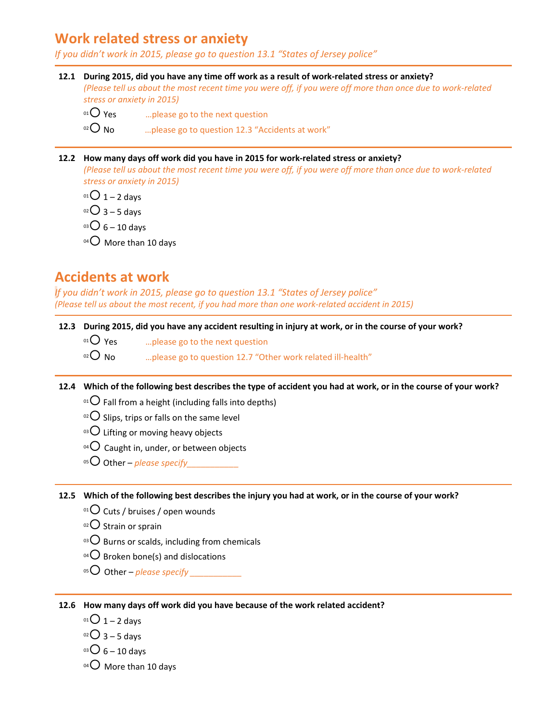### **Work related stress or anxiety**

*If you didn't work in 2015, please go to question 13.1 "States of Jersey police"*

- 12.1 During 2015, did you have any time off work as a result of work-related stress or anxiety? (Please tell us about the most recent time you were off, if you were off more than once due to work-related *stress or anxiety in 2015)*
	- $0^{\text{1}}$  Yes ... please go to the next question

 $02^{\circ}$  No  $\qquad \qquad \ldots$  please go to question 12.3 "Accidents at work"

#### **12.2 How many days off work did you have in 2015 for work‐related stress or anxiety?**

(Please tell us about the most recent time you were off, if you were off more than once due to work-related *stress or anxiety in 2015)*

 $^{01}$  C 1 – 2 days

 $02$  3 – 5 days

 $^{03}$ O 6 – 10 days

 $04$  More than 10 days

### **Accidents at work**

*If you didn't work in 2015, please go to question 13.1 "States of Jersey police"* (Please tell us about the most recent, if you had more than one work-related accident in 2015)

### 12.3 During 2015, did you have any accident resulting in injury at work, or in the course of your work?

 $0^1$ O Yes .... please go to the next question

 $\infty$  No  $\infty$  …please go to question 12.7 "Other work related ill-health"

### 12.4 Which of the following best describes the type of accident you had at work, or in the course of your work?

- $^{01}$  Fall from a height (including falls into depths)
- $10^{2}$  Slips, trips or falls on the same level
- $03$  Lifting or moving heavy objects
- $04$  Caught in, under, or between objects
- <sup>05</sup> Other *please specify*

12.5 Which of the following best describes the injury you had at work, or in the course of your work?

- $01$  Cuts / bruises / open wounds
- $02$  Strain or sprain
- $103$  Burns or scalds, including from chemicals
- $04$  Broken bone(s) and dislocations
- <sup>05</sup> Other *please specify \_\_\_\_\_\_\_\_\_\_\_*

**12.6 How many days off work did you have because of the work related accident?**

- $^{01}$  O 1 2 days
- $02$  3 5 days
- $03 \bigcirc 6 10$  days
- 04 O More than 10 days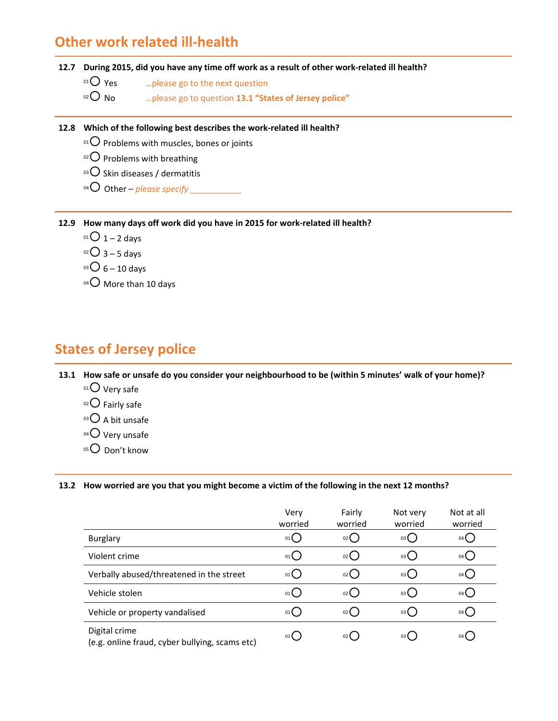### **Other work related ill‐health**

### 12.7 During 2015, did you have any time off work as a result of other work-related ill health?

 $0^1$ O Yes ... please go to the next question

<sup>02</sup> No …please go to question **13.1 "States of Jersey police"**

**12.8 Which of the following best describes the work‐related ill health?**

 $01$  Problems with muscles, bones or joints

 $02$  Problems with breathing

03 O Skin diseases / dermatitis

04 O Other – *please specify* 

**12.9 How many days off work did you have in 2015 for work‐related ill health?**

- $^{01}$   $\rm{O}$  1 2 days
- $02$  3 5 days
- $^{03}$ O 6 10 days
- 04 O More than 10 days

## **States of Jersey police**

13.1 How safe or unsafe do you consider your neighbourhood to be (within 5 minutes' walk of your home)?

- $01$  Very safe
- $02$  Fairly safe
- 03 A bit unsafe
- $04$  Very unsafe
- 05<sup>O</sup> Don't know

#### 13.2 How worried are you that you might become a victim of the following in the next 12 months?

|                                                                 | Very<br>worried | Fairly<br>worried | Not very<br>worried | Not at all<br>worried |
|-----------------------------------------------------------------|-----------------|-------------------|---------------------|-----------------------|
| <b>Burglary</b>                                                 | 01              | 02                | 03(                 | 04 Q                  |
| Violent crime                                                   | 01()            | 02()              | 03(                 | 04 (                  |
| Verbally abused/threatened in the street                        | 01()            | 02()              | 03(                 | 04 (                  |
| Vehicle stolen                                                  | 01()            | 02()              | 03(                 | $04$ (                |
| Vehicle or property vandalised                                  | 01()            | 02()              | 03                  | 04(                   |
| Digital crime<br>(e.g. online fraud, cyber bullying, scams etc) | 01              | 02(               | 03(                 | 04 <sub>1</sub>       |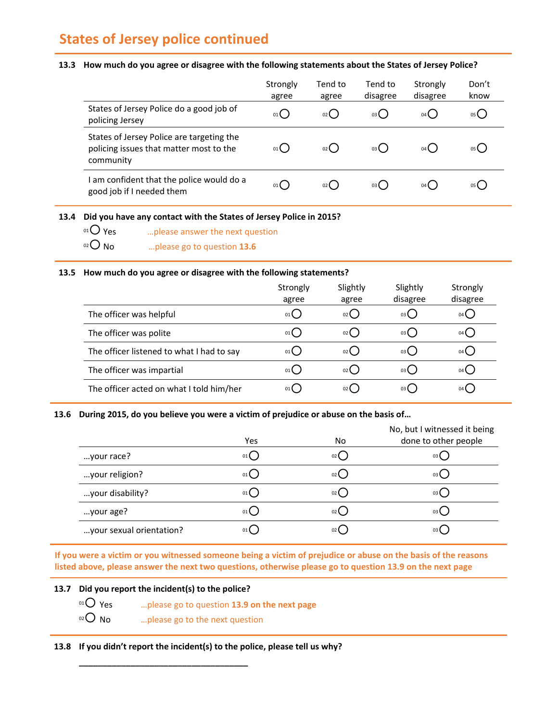## **States of Jersey police continued**

#### 13.3 How much do you agree or disagree with the following statements about the States of Jersey Police?

|                                                                                                   | Strongly<br>agree | Tend to<br>agree | Tend to<br>disagree | Strongly<br>disagree | Don't<br>know |
|---------------------------------------------------------------------------------------------------|-------------------|------------------|---------------------|----------------------|---------------|
| States of Jersey Police do a good job of<br>policing Jersey                                       | 01 (              | $_{02}$ ()       | 03()                | 04                   | 05 L          |
| States of Jersey Police are targeting the<br>policing issues that matter most to the<br>community | 01                | $02$ $\left($    | 03()                | $04$ (               | 05 (          |
| am confident that the police would do a<br>good job if I needed them                              | 01                | 02(              | 03( )               | 04 (                 | 05 L          |

**13.4 Did you have any contact with the States of Jersey Police in 2015?**

 $0^1$  Yes  $\hspace{1cm}$  ... please answer the next question <sup>02</sup> No …please go to question **13.6**

#### **13.5 How much do you agree or disagree with the following statements?**

|                                           | Strongly<br>agree | Slightly<br>agree | Slightly<br>disagree | Strongly<br>disagree |
|-------------------------------------------|-------------------|-------------------|----------------------|----------------------|
| The officer was helpful                   | 01 <sup>1</sup>   | 02 <sup>2</sup>   | 03 <sup>2</sup>      | 04 <sup>1</sup>      |
| The officer was polite                    | 01(               | $02$ $\left($     | 03(                  | 04 (                 |
| The officer listened to what I had to say | 01                | 02(               | 03(                  | 04 (                 |
| The officer was impartial                 | 01                | $02$ (            | 03 (                 | $04$ $\left($        |
| The officer acted on what I told him/her  | 01                | 02 (              | 03 L                 | 04 L                 |

### **13.6 During 2015, do you believe you were a victim of prejudice or abuse on the basis of…**

|                          | Yes  | No. | No, but I witnessed it being<br>done to other people |
|--------------------------|------|-----|------------------------------------------------------|
| your race?               | 01() | 02( | 03(                                                  |
| your religion?           | 01() | 02( | 03                                                   |
| your disability?         | 01() | 02( | 03 (                                                 |
| your age?                | 01() | 02( | 03 L                                                 |
| your sexual orientation? | 01(  |     | 03 L                                                 |

If you were a victim or you witnessed someone being a victim of prejudice or abuse on the basis of the reasons listed above, please answer the next two questions, otherwise please go to question 13.9 on the next page

### **13.7 Did you report the incident(s) to the police?**

- <sup>01</sup> Yes …please go to question **13.9 on the next page**
- $02$  No  $\ldots$  please go to the next question

**\_\_\_\_\_\_\_\_\_\_\_\_\_\_\_\_\_\_\_\_\_\_\_\_\_\_\_\_\_\_\_\_\_\_\_\_**

**13.8 If you didn't report the incident(s) to the police, please tell us why?**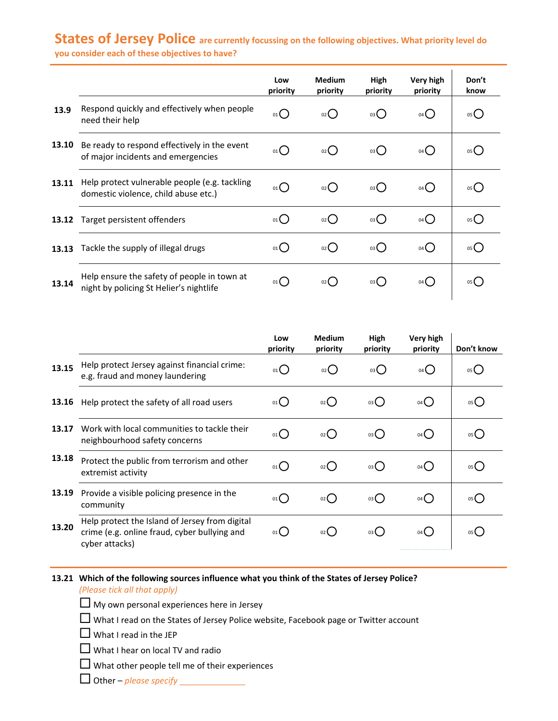### **States of Jersey Police are currently focussing on the following objectives. What priority level do you consider each of these objectives to have?**

**13.9** Respond quickly and effectively when people need their help <sup>01</sup> <sup>02</sup> <sup>03</sup> <sup>04</sup> <sup>05</sup> **13.10** Be ready to respond effectively in the event **13.11** Help protect vulnerable people (e.g. tackling **13.12** Target persistent offenders <sup>01</sup> <sup>02</sup> <sup>03</sup> <sup>04</sup> <sup>05</sup> **13.13** Tackle the supply of illegal drugs  $\begin{array}{ccc} 0 & 0 & 0 \end{array}$   $\begin{array}{ccc} 0 & 0 & 0 \end{array}$   $\begin{array}{ccc} 0 & 0 & 0 \end{array}$   $\begin{array}{ccc} 0 & 0 & 0 \end{array}$ **13.14 Low priority Medium priority High priority Very high priority Don't know** be ready to respond effectively in the event  $\sigma_0$  or  $O$  or  $O$  or  $O$  or  $O$  or  $O$  or  $O$ domestic violence, child abuse etc.)  $\begin{bmatrix} 0 & 0 \end{bmatrix}$   $\begin{bmatrix} 0 & 0 \end{bmatrix}$   $\begin{bmatrix} 0 & 0 \end{bmatrix}$   $\begin{bmatrix} 0 & 0 \end{bmatrix}$   $\begin{bmatrix} 0 & 0 \end{bmatrix}$   $\begin{bmatrix} 0 & 0 \end{bmatrix}$   $\begin{bmatrix} 0 & 0 \end{bmatrix}$   $\begin{bmatrix} 0 & 0 \end{bmatrix}$   $\begin{bmatrix} 0 & 0 \end{bmatrix}$   $\begin{$ Help ensure the safety of people in town at night by policing St Helier's nightlife  $\alpha_0$  on  $\overline{O}$  on  $\overline{O}$  on  $\overline{O}$  on  $\overline{O}$  of  $\overline{O}$  of  $\overline{O}$ 

|       |                                                                                                                  | Low<br>priority | <b>Medium</b><br>priority | High<br>priority | Very high<br>priority | Don't know |
|-------|------------------------------------------------------------------------------------------------------------------|-----------------|---------------------------|------------------|-----------------------|------------|
| 13.15 | Help protect Jersey against financial crime:<br>e.g. fraud and money laundering                                  | $_{01}O$        | $_{02}$ $O$               | $_{03}O$         | $04$ $\bigcirc$       | 05()       |
| 13.16 | Help protect the safety of all road users                                                                        | 01()            | $_{02}$ ()                | 03()             | $04$ $\bigcirc$       | 05()       |
| 13.17 | Work with local communities to tackle their<br>neighbourhood safety concerns                                     | $_{01}()$       | $_{02}$ $\bigcirc$        | 03()             | $04$ $\bigcirc$       | 05()       |
| 13.18 | Protect the public from terrorism and other<br>extremist activity                                                | $_{01}()$       | $_{02}$ ()                | 03()             | $04$ $\bigcirc$       | 05()       |
| 13.19 | Provide a visible policing presence in the<br>community                                                          | $_{01}()$       | $_{02}$ $\bigcirc$        | 03()             | $04$ $\bigcirc$       | 05()       |
| 13.20 | Help protect the Island of Jersey from digital<br>crime (e.g. online fraud, cyber bullying and<br>cyber attacks) | 01()            | $_{02}$ ()                | 03()             | 04()                  | 05(        |

### **13.21 Which of the following sources influence what you think of the States of Jersey Police?**

*(Please tick all that apply)*

 $\Box$  My own personal experiences here in Jersey

 $\Box$  What I read on the States of Jersey Police website, Facebook page or Twitter account

 $\Box$  What I read in the JEP

 $\Box$  What I hear on local TV and radio

 $\Box$  What other people tell me of their experiences

Other – *please specify* \_\_\_\_\_\_\_\_\_\_\_\_\_\_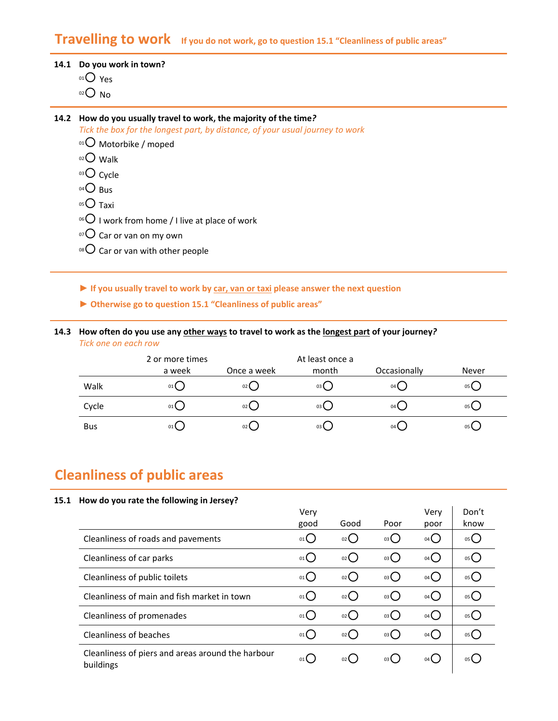### **Travelling to work If you do not work, go to question 15.1 "Cleanliness of public areas"**

### **14.1 Do you work in town?**

 $01O$  Yes

 $02$  No

#### **14.2 How do you usually travel to work, the majority of the time***?*

*Tick the box for the longest part, by distance, of your usual journey to work*

- 01 Motorbike / moped
- 02 Walk
- 03 Cycle
- $04\bigcirc$  Bus
- $05$  Taxi
- $106$  I work from home / I live at place of work
- $107$  Car or van on my own
- $08$  Car or van with other people
- **► If you usually travel to work by car, van or taxi please answer the next question**
- **► Otherwise go to question 15.1 "Cleanliness of public areas"**
- 14.3 How often do you use any other ways to travel to work as the longest part of your journey? *Tick one on each row*

|            | 2 or more times |                 | At least once a |                 |       |
|------------|-----------------|-----------------|-----------------|-----------------|-------|
|            | a week          | Once a week     | month           | Occasionally    | Never |
| Walk       | 01()            | 02              | 03 <sup>2</sup> | 04 <sup>1</sup> | 05    |
| Cycle      | 01()            | 02              | 03              | $04$ (          | 05    |
| <b>Bus</b> | 01(             | 02 <sup>2</sup> | 03              | 04 <sup>1</sup> | 05    |

## **Cleanliness of public areas**

#### **15.1 How do you rate the following in Jersey?**

|                                                                | Very | Good               |      | Very            | Don't<br>know |
|----------------------------------------------------------------|------|--------------------|------|-----------------|---------------|
|                                                                | good |                    | Poor | poor            |               |
| Cleanliness of roads and pavements                             | 01C  | O(2)               | 03   | $04$ $\bigcirc$ | 05            |
| Cleanliness of car parks                                       | 01() | $_{02}$ $\bigcirc$ | 03() | 04()            | 05            |
| Cleanliness of public toilets                                  | 01() | $_{02}$ $\bigcirc$ | 03() | 04()            | 05            |
| Cleanliness of main and fish market in town                    | 01() | 02                 | 03() | $04$ $\bigcirc$ | 05            |
| Cleanliness of promenades                                      | 01() | $_{02}$ $\bigcirc$ | 03() | 04()            | 05            |
| Cleanliness of beaches                                         | 01() | $_{02}$ $\bigcirc$ | 03() | 04()            | 05            |
| Cleanliness of piers and areas around the harbour<br>buildings | 01   | 02()               | 03(  | 04 (            | 05(           |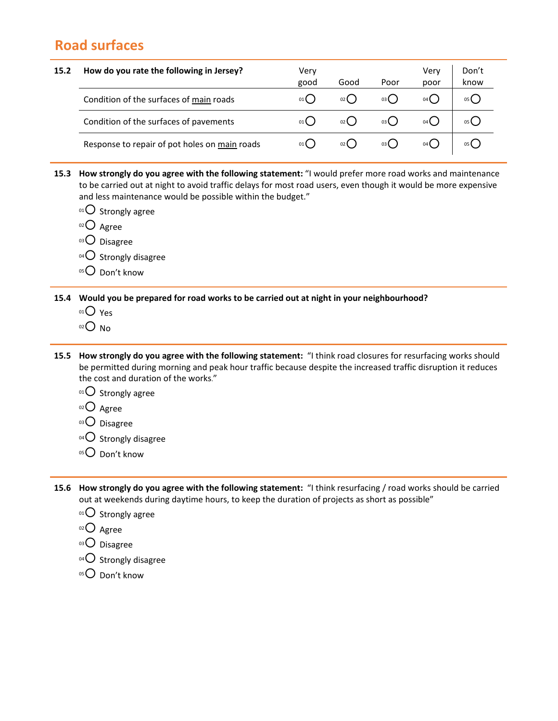## **Road surfaces**

- **15.2 How do you rate the following in Jersey?** Very good Good Poor Very poor Don't know Condition of the surfaces of <u>main</u> roads  $0 \t 0 \t 0$   $0 \t 0$   $0 \t 0$   $0$   $0$   $0$   $0$   $0$   $0$   $0$   $0$   $0$ Condition of the surfaces of pavements  $\begin{array}{ccc} 0 & 0 & 0 \end{array}$   $\begin{array}{ccc} 0 & 0 & 0 \end{array}$   $\begin{array}{ccc} 0 & 0 & 0 \end{array}$ Response to repair of pot holes on main roads  $0.01$  02  $0.02$  03 0  $0.04$  01  $0.05$  05 0
- **15.3 How strongly do you agree with the following statement:** "I would prefer more road works and maintenance to be carried out at night to avoid traffic delays for most road users, even though it would be more expensive and less maintenance would be possible within the budget."
	- $01$  Strongly agree
	- 02 Agree
	- 03<sup>O</sup> Disagree
	- $04$  Strongly disagree
	- $05$  Don't know

**15.4 Would you be prepared for road works to be carried out at night in your neighbourhood?** 

- $01$  Yes
- $02$  No
- **15.5 How strongly do you agree with the following statement:** "I think road closures for resurfacing works should be permitted during morning and peak hour traffic because despite the increased traffic disruption it reduces the cost and duration of the works."
	- $01$  Strongly agree
	- 02 Agree
	- 03<sup>O</sup> Disagree
	- $04$  Strongly disagree
	- 05<sup>O</sup> Don't know
- **15.6 How strongly do you agree with the following statement:** "I think resurfacing / road works should be carried out at weekends during daytime hours, to keep the duration of projects as short as possible"
	- $01$  Strongly agree
	- 02 Agree
	- 03 Disagree
	- $^{04}$ O Strongly disagree
	- $05$  Don't know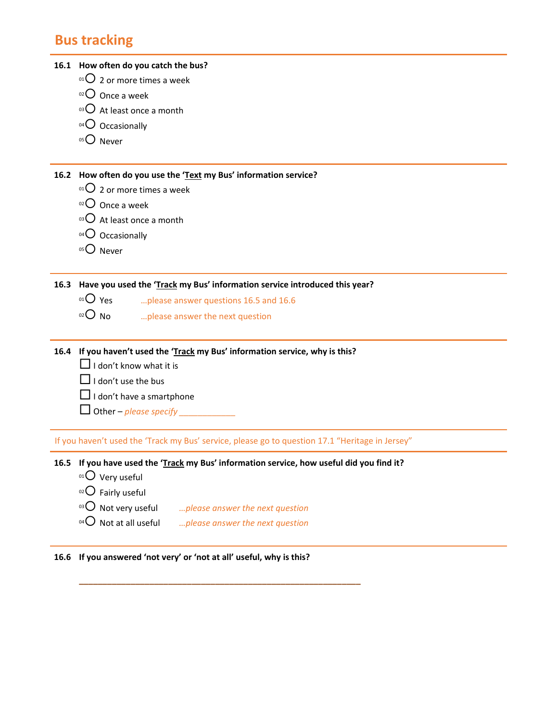# **Bus tracking**

|      | 16.1 How often do you catch the bus?                                                            |
|------|-------------------------------------------------------------------------------------------------|
|      | 01 $\overline{O}$ 2 or more times a week                                                        |
|      | $02$ Once a week                                                                                |
|      | $^{03}$ O At least once a month                                                                 |
|      | $^{04}$ Occasionally                                                                            |
|      | $050$ Never                                                                                     |
|      |                                                                                                 |
| 16.2 | How often do you use the 'Text my Bus' information service?                                     |
|      | <sup>01</sup> $\overline{O}$ 2 or more times a week                                             |
|      | $^{02}$ O Once a week                                                                           |
|      | $^{03}$ O At least once a month                                                                 |
|      | $04$ Occasionally                                                                               |
|      | $050$ Never                                                                                     |
|      |                                                                                                 |
| 16.3 | Have you used the 'Track my Bus' information service introduced this year?                      |
|      | $01O$ Yes<br>please answer questions 16.5 and 16.6                                              |
|      | $O02$ No<br>please answer the next question                                                     |
|      |                                                                                                 |
| 16.4 | If you haven't used the 'Track my Bus' information service, why is this?                        |
|      | $\Box$ I don't know what it is                                                                  |
|      | $\Box$ I don't use the bus                                                                      |
|      | $\Box$ I don't have a smartphone                                                                |
|      | Other $-p$ <i>lease specify</i>                                                                 |
|      |                                                                                                 |
|      | If you haven't used the 'Track my Bus' service, please go to question 17.1 "Heritage in Jersey" |
|      | 16.5 If you have used the 'Track my Bus' information service, how useful did you find it?       |
|      | $01$ Very useful                                                                                |
|      | $^{02}$ Fairly useful                                                                           |
|      | $03$ Not very useful<br>please answer the next question                                         |
|      | $^{04}$ Not at all useful<br>please answer the next question                                    |
|      |                                                                                                 |
|      | 16.6 If you answered 'not very' or 'not at all' useful, why is this?                            |

**\_\_\_\_\_\_\_\_\_\_\_\_\_\_\_\_\_\_\_\_\_\_\_\_\_\_\_\_\_\_\_\_\_\_\_\_\_\_\_\_\_\_\_\_\_\_\_\_\_\_\_\_\_\_\_\_\_\_\_\_**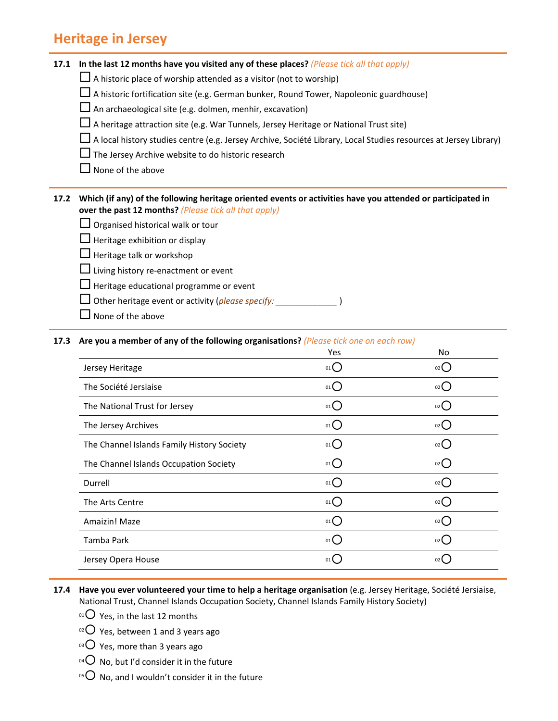### **Heritage in Jersey**

|  | 17.1 In the last 12 months have you visited any of these places? (Please tick all that apply) |  |
|--|-----------------------------------------------------------------------------------------------|--|
|--|-----------------------------------------------------------------------------------------------|--|

- $\Box$  A historic place of worship attended as a visitor (not to worship)
- $\square$  A historic fortification site (e.g. German bunker, Round Tower, Napoleonic guardhouse)

 $\square$  An archaeological site (e.g. dolmen, menhir, excavation)

- $\Box$  A heritage attraction site (e.g. War Tunnels, Jersey Heritage or National Trust site)
- $\Box$  A local history studies centre (e.g. Jersey Archive, Société Library, Local Studies resources at Jersey Library)
- $\Box$  The Jersey Archive website to do historic research
- $\Box$  None of the above

#### 17.2 Which (if any) of the following heritage oriented events or activities have you attended or participated in **over the past 12 months?** *(Please tick all that apply)*

- $\Box$  Organised historical walk or tour
- $\Box$  Heritage exhibition or display
- $\Box$  Heritage talk or workshop
- $\Box$  Living history re-enactment or event
- $\Box$  Heritage educational programme or event
- Other heritage event or activity (*please specify: \_\_\_\_\_\_\_\_\_\_\_\_\_* )
- $\Box$  None of the above

#### **17.3 Are you a member of any of the following organisations?** *(Please tick one on each row)*

| Yes  | No              |
|------|-----------------|
| 01   | 02              |
| 01   | 02              |
| 01   | 02              |
| 01   | 02              |
| 01() | $02$ $\left($   |
| 01() | 02              |
| 01(  | $02$ (          |
| 01   | 02              |
| 01   | 02              |
| 01(  | $02$ (          |
| 01(  | 02 <sup>2</sup> |
|      |                 |

#### **17.4 Have you ever volunteered your time to help a heritage organisation** (e.g. Jersey Heritage, Société Jersiaise, National Trust, Channel Islands Occupation Society, Channel Islands Family History Society)

- $01$  Yes, in the last 12 months
- $\circ$ 2 Yes, between 1 and 3 years ago
- $03$  Yes, more than 3 years ago
- <sup>04</sup> O No, but I'd consider it in the future
- <sup>05</sup> No, and I wouldn't consider it in the future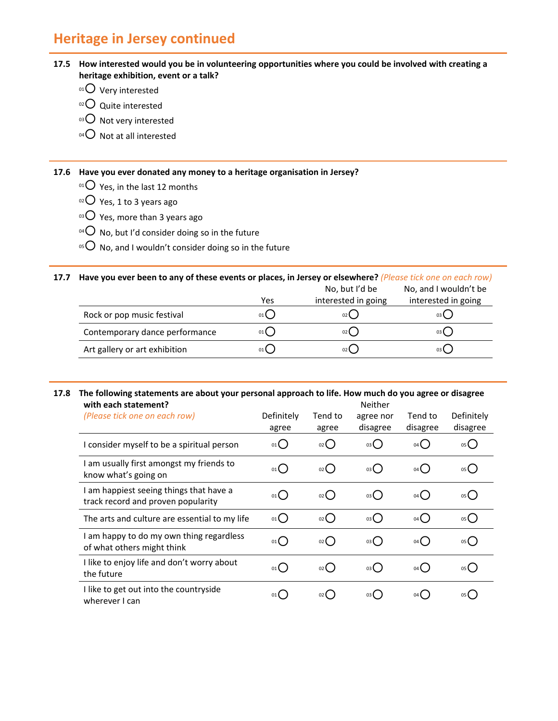## **Heritage in Jersey continued**

#### 17.5 How interested would you be in volunteering opportunities where you could be involved with creating a **heritage exhibition, event or a talk?**

- $01$  Very interested
- $02$  Quite interested
- 03 O Not very interested
- $04$  Not at all interested

**17.6 Have you ever donated any money to a heritage organisation in Jersey?**

- $01$  Yes, in the last 12 months
- $\circ$ 2 Yes, 1 to 3 years ago
- $^{03}$  Yes, more than 3 years ago
- $^{04}$  No, but I'd consider doing so in the future
- <sup>05</sup>  $\bigcirc$  No, and I wouldn't consider doing so in the future

#### 17.7 Have you ever been to any of these events or places, in Jersey or elsewhere? (Please tick one on each row) No, but I'd be No, and I wouldn't be

|                                | Yes  | NO, DUI I O DE<br>interested in going | No, and I wouldn't be<br>interested in going |
|--------------------------------|------|---------------------------------------|----------------------------------------------|
|                                |      |                                       |                                              |
| Rock or pop music festival     | 01 ( | 02 (                                  | 03 L                                         |
| Contemporary dance performance |      | 02(                                   | 03 L                                         |
| Art gallery or art exhibition  |      | 02 (                                  | 03 (                                         |

#### 17.8 The following statements are about your personal approach to life. How much do you agree or disagree **with each statement?** Neither

| with each statement?                                                          | Neither             |                    |                       |                     |                        |  |
|-------------------------------------------------------------------------------|---------------------|--------------------|-----------------------|---------------------|------------------------|--|
| (Please tick one on each row)                                                 | Definitely<br>agree | Tend to<br>agree   | agree nor<br>disagree | Tend to<br>disagree | Definitely<br>disagree |  |
| I consider myself to be a spiritual person                                    | 01                  | 02C                | 03()                  | $04$ (              | $05$ $\bigcirc$        |  |
| I am usually first amongst my friends to<br>know what's going on              | $01$ <sup>O</sup>   | $02$ $\bigcap$     | 03()                  | 04()                | 05()                   |  |
| I am happiest seeing things that have a<br>track record and proven popularity | $01$ $\bigcirc$     | 02()               | 03()                  | 04( )               | 05()                   |  |
| The arts and culture are essential to my life                                 | $_{01}O$            | $_{02}$ $\bigcirc$ | 03()                  | 04()                | 05                     |  |
| I am happy to do my own thing regardless<br>of what others might think        | $_{01}$ $O$         | $_{02}$ $\bigcirc$ | 03()                  | $04$ $\bigcap$      | 05                     |  |
| I like to enjoy life and don't worry about<br>the future                      | $_{01}()$           | 02()               | 03()                  | 04()                | 05                     |  |
| I like to get out into the countryside<br>wherever I can                      | 01()                | $02$ (             | 03 (                  | $04$ (              | $05$ $\left($          |  |